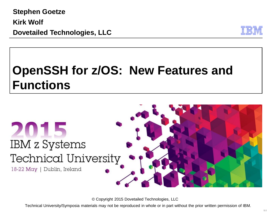**Stephen Goetze Kirk Wolf Dovetailed Technologies, LLC**



# **OpenSSH for z/OS: New Features and Functions**



© Copyright 2015 Dovetailed Technologies, LLC

Technical University/Symposia materials may not be reproduced in whole or in part without the prior written permission of IBM.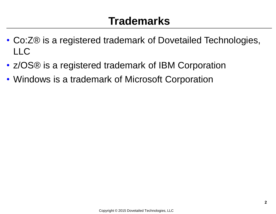### **Trademarks**

- Co:Z® is a registered trademark of Dovetailed Technologies,  $\overline{\phantom{a}}$
- z/OS® is a registered trademark of IBM Corporation
- Windows is a trademark of Microsoft Corporation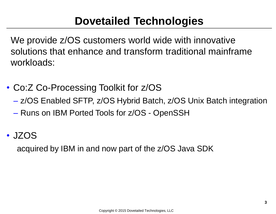### **Dovetailed Technologies**

We provide z/OS customers world wide with innovative solutions that enhance and transform traditional mainframe workloads:

- Co:Z Co-Processing Toolkit for z/OS
	- z/OS Enabled SFTP, z/OS Hybrid Batch, z/OS Unix Batch integration
	- Runs on IBM Ported Tools for z/OS OpenSSH
- JZOS

acquired by IBM in and now part of the z/OS Java SDK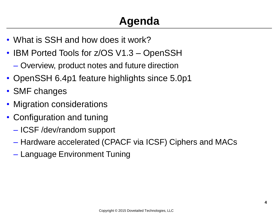# **Agenda**

- What is SSH and how does it work?
- IBM Ported Tools for z/OS V1.3 OpenSSH
	- Overview, product notes and future direction
- OpenSSH 6.4p1 feature highlights since 5.0p1
- SMF changes
- Migration considerations
- Configuration and tuning
	- ICSF /dev/random support
	- Hardware accelerated (CPACF via ICSF) Ciphers and MACs
	- Language Environment Tuning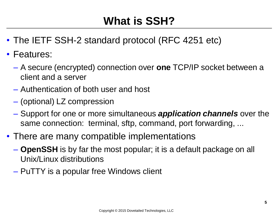# **What is SSH?**

- The IETF SSH-2 standard protocol (RFC 4251 etc)
- Features:
	- A secure (encrypted) connection over **one** TCP/IP socket between a client and a server
	- Authentication of both user and host
	- (optional) LZ compression
	- Support for one or more simultaneous *application channels* over the same connection: terminal, sftp, command, port forwarding, ...
- There are many compatible implementations
	- **OpenSSH** is by far the most popular; it is a default package on all Unix/Linux distributions
	- PuTTY is a popular free Windows client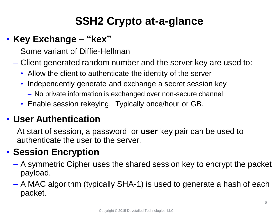# **SSH2 Crypto at-a-glance**

#### • **Key Exchange – "kex"**

- Some variant of Diffie-Hellman
- Client generated random number and the server key are used to:
	- Allow the client to authenticate the identity of the server
	- Independently generate and exchange a secret session key
		- No private information is exchanged over non-secure channel
	- Enable session rekeying. Typically once/hour or GB.

#### • **User Authentication**

At start of session, a password or **user** key pair can be used to authenticate the user to the server.

#### • **Session Encryption**

- A symmetric Cipher uses the shared session key to encrypt the packet payload.
- A MAC algorithm (typically SHA-1) is used to generate a hash of each packet.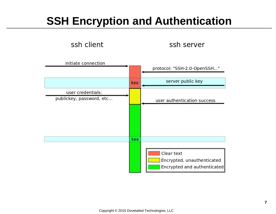### **SSH Encryption and Authentication**

ssh client

ssh server

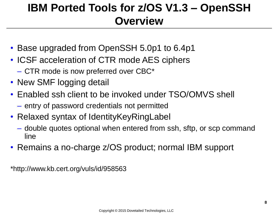### **IBM Ported Tools for z/OS V1.3 – OpenSSH Overview**

- Base upgraded from OpenSSH 5.0p1 to 6.4p1
- ICSF acceleration of CTR mode AES ciphers – CTR mode is now preferred over CBC\*
- New SMF logging detail
- Enabled ssh client to be invoked under TSO/OMVS shell
	- entry of password credentials not permitted
- Relaxed syntax of Identity Key Ring Label
	- double quotes optional when entered from ssh, sftp, or scp command line
- Remains a no-charge z/OS product; normal IBM support

\*http://www.kb.cert.org/vuls/id/958563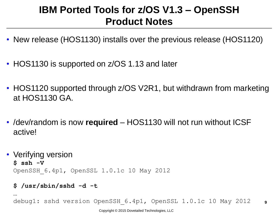#### **IBM Ported Tools for z/OS V1.3 – OpenSSH Product Notes**

- New release (HOS1130) installs over the previous release (HOS1120)
- HOS1130 is supported on z/OS 1.13 and later
- HOS1120 supported through z/OS V2R1, but withdrawn from marketing at HOS1130 GA.
- /dev/random is now **required** HOS1130 will not run without ICSF active!

• Verifying version **\$ ssh -V** OpenSSH\_6.4p1, OpenSSL 1.0.1c 10 May 2012

#### **\$ /usr/sbin/sshd -d -t**

…

debug1: sshd version OpenSSH\_6.4p1, OpenSSL 1.0.1c 10 May 2012

**9**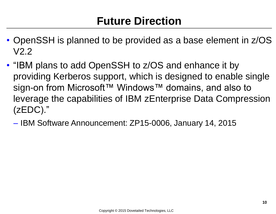### **Future Direction**

- OpenSSH is planned to be provided as a base element in z/OS V2.2
- "IBM plans to add OpenSSH to z/OS and enhance it by providing Kerberos support, which is designed to enable single sign-on from Microsoft™ Windows™ domains, and also to leverage the capabilities of IBM zEnterprise Data Compression (zEDC)."
	- IBM Software Announcement: ZP15-0006, January 14, 2015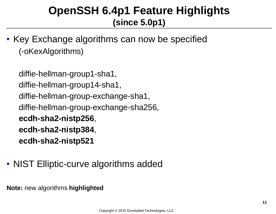• Key Exchange algorithms can now be specified (-oKexAlgorithms)

```
diffie-hellman-group1-sha1, 
diffie-hellman-group14-sha1, 
diffie-hellman-group-exchange-sha1,
diffie-hellman-group-exchange-sha256,
ecdh-sha2-nistp256, 
ecdh-sha2-nistp384, 
ecdh-sha2-nistp521
```
• NIST Elliptic-curve algorithms added

**Note:** new algorithms **highlighted**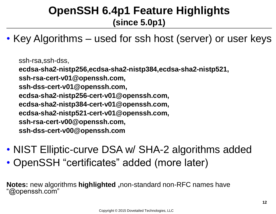• Key Algorithms – used for ssh host (server) or user keys

ssh-rsa,ssh-dss, **ecdsa-sha2-nistp256,ecdsa-sha2-nistp384,ecdsa-sha2-nistp521, ssh-rsa-cert-v01@openssh.com, ssh-dss-cert-v01@openssh.com, ecdsa-sha2-nistp256-cert-v01@openssh.com, ecdsa-sha2-nistp384-cert-v01@openssh.com, ecdsa-sha2-nistp521-cert-v01@openssh.com, ssh-rsa-cert-v00@openssh.com, ssh-dss-cert-v00@openssh.com**

- NIST Elliptic-curve DSA w/ SHA-2 algorithms added
- OpenSSH "certificates" added (more later)

**Notes:** new algorithms **highlighted ,**non-standard non-RFC names have "@openssh.com"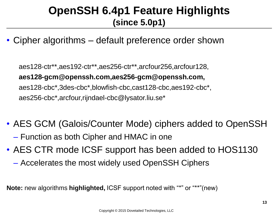• Cipher algorithms – default preference order shown

aes128-ctr\*\*,aes192-ctr\*\*,aes256-ctr\*\*,arcfour256,arcfour128, **aes128-gcm@openssh.com,aes256-gcm@openssh.com,** aes128-cbc\*,3des-cbc\*,blowfish-cbc,cast128-cbc,aes192-cbc\*, aes256-cbc\*,arcfour,rijndael-cbc@lysator.liu.se\*

- AES GCM (Galois/Counter Mode) ciphers added to OpenSSH – Function as both Cipher and HMAC in one
- AES CTR mode ICSF support has been added to HOS1130
	- Accelerates the most widely used OpenSSH Ciphers

**Note:** new algorithms **highlighted,** ICSF support noted with "\*" or "\*\*"(new)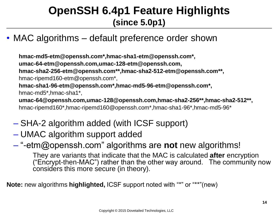#### • MAC algorithms – default preference order shown

**hmac-md5-etm@openssh.com\*,hmac-sha1-etm@openssh.com\*, umac-64-etm@openssh.com,umac-128-etm@openssh.com, hmac-sha2-256-etm@openssh.com\*\*,hmac-sha2-512-etm@openssh.com\*\*,** hmac-ripemd160-etm@openssh.com\*, **hmac-sha1-96-etm@openssh.com\*,hmac-md5-96-etm@openssh.com\*,** hmac-md5\*,hmac-sha1\*, **umac-64@openssh.com,umac-128@openssh.com,hmac-sha2-256\*\*,hmac-sha2-512\*\*,** hmac-ripemd160\*,hmac-ripemd160@openssh.com\*,hmac-sha1-96\*,hmac-md5-96\*

- SHA-2 algorithm added (with ICSF support)
- UMAC algorithm support added
- "-etm@openssh.com" algorithms are **not** new algorithms!

They are variants that indicate that the MAC is calculated **after** encryption ("Encrypt-then-MAC") rather than the other way around. The community now considers this more secure (in theory).

**Note:** new algorithms **highlighted,** ICSF support noted with "\*" or "\*\*"(new)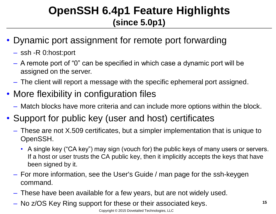- Dynamic port assignment for remote port forwarding
	- ssh -R 0:host:port
	- A remote port of "0" can be specified in which case a dynamic port will be assigned on the server.
	- The client will report a message with the specific ephemeral port assigned.
- More flexibility in configuration files
	- Match blocks have more criteria and can include more options within the block.
- Support for public key (user and host) certificates
	- These are not X.509 certificates, but a simpler implementation that is unique to OpenSSH.
		- A single key ("CA key") may sign (vouch for) the public keys of many users or servers. If a host or user trusts the CA public key, then it implicitly accepts the keys that have been signed by it.
	- For more information, see the User's Guide / man page for the ssh-keygen command.
	- These have been available for a few years, but are not widely used.
	- No z/OS Key Ring support for these or their associated keys.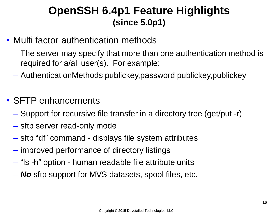- Multi factor authentication methods
	- The server may specify that more than one authentication method is required for a/all user(s). For example:
	- AuthenticationMethods publickey,password publickey,publickey
- SFTP enhancements
	- Support for recursive file transfer in a directory tree (get/put -r)
	- sftp server read-only mode
	- sftp "df" command displays file system attributes
	- improved performance of directory listings
	- "ls -h" option human readable file attribute units
	- *No* sftp support for MVS datasets, spool files, etc.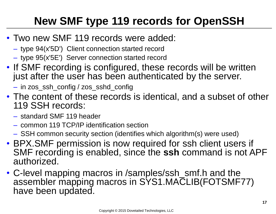# **New SMF type 119 records for OpenSSH**

- Two new SMF 119 records were added:
	- type 94(x'5D') Client connection started record
	- type 95(x'5E') Server connection started record
- If SMF recording is configured, these records will be written just after the user has been authenticated by the server.
	- in zos\_ssh\_config / zos\_sshd\_config
- The content of these records is identical, and a subset of other 119 SSH records:
	- standard SMF 119 header
	- common 119 TCP/IP identification section
	- SSH common security section (identifies which algorithm(s) were used)
- BPX.SMF permission is now required for ssh client users if SMF recording is enabled, since the **ssh** command is not APF authorized.
- C-level mapping macros in /samples/ssh\_smf.h and the assembler mapping macros in SYS1.MACLIB(FOTSMF77) have been updated.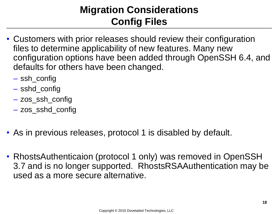#### **Migration Considerations Config Files**

- Customers with prior releases should review their configuration files to determine applicability of new features. Many new configuration options have been added through OpenSSH 6.4, and defaults for others have been changed.
	- ssh\_config
	- sshd\_config
	- zos\_ssh\_config
	- zos\_sshd\_config
- As in previous releases, protocol 1 is disabled by default.
- RhostsAuthenticaion (protocol 1 only) was removed in OpenSSH 3.7 and is no longer supported. RhostsRSAAuthentication may be used as a more secure alternative.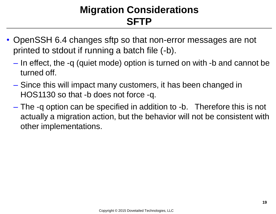#### **Migration Considerations SFTP**

- OpenSSH 6.4 changes sftp so that non-error messages are not printed to stdout if running a batch file (-b).
	- In effect, the -q (quiet mode) option is turned on with -b and cannot be turned off.
	- Since this will impact many customers, it has been changed in HOS1130 so that -b does not force -q.
	- The -q option can be specified in addition to -b. Therefore this is not actually a migration action, but the behavior will not be consistent with other implementations.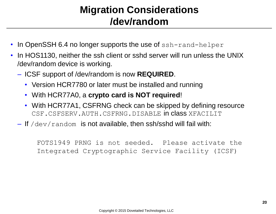#### **Migration Considerations /dev/random**

- In OpenSSH 6.4 no longer supports the use of ssh-rand-helper
- In HOS1130, neither the ssh client or sshd server will run unless the UNIX /dev/random device is working.
	- ICSF support of /dev/random is now **REQUIRED**.
		- Version HCR7780 or later must be installed and running
		- With HCR77A0, a **crypto card is NOT required**!
		- With HCR77A1, CSFRNG check can be skipped by defining resource CSF.CSFSERV.AUTH.CSFRNG.DISABLE IN CLASS XFACILIT
	- $-$  If /dev/random is not available, then ssh/sshd will fail with:

FOTS1949 PRNG is not seeded. Please activate the Integrated Cryptographic Service Facility (ICSF)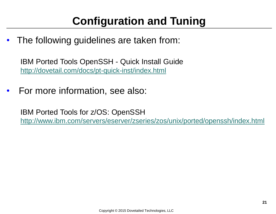The following quidelines are taken from:

IBM Ported Tools OpenSSH - Quick Install Guide <http://dovetail.com/docs/pt-quick-inst/index.html>

• For more information, see also:

IBM Ported Tools for z/OS: OpenSSH <http://www.ibm.com/servers/eserver/zseries/zos/unix/ported/openssh/index.html>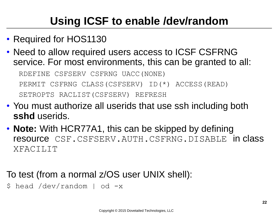# **Using ICSF to enable /dev/random**

- Required for HOS1130
- Need to allow required users access to ICSF CSFRNG service. For most environments, this can be granted to all: RDEFINE CSFSERV CSFRNG UACC(NONE) PERMIT CSFRNG CLASS(CSFSERV) ID(\*) ACCESS(READ) SETROPTS RACLIST(CSFSERV) REFRESH
- You must authorize all userids that use ssh including both **sshd** userids.
- **Note:** With HCR77A1, this can be skipped by defining resource CSF.CSFSERV.AUTH.CSFRNG.DISABLE in class XFACILIT

#### To test (from a normal z/OS user UNIX shell):

\$ head /dev/random | od -x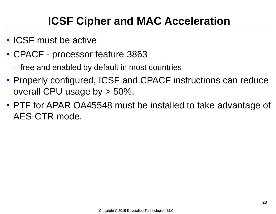- ICSF must be active
- CPACF processor feature 3863
	- free and enabled by default in most countries
- Properly configured, ICSF and CPACF instructions can reduce overall CPU usage by > 50%.
- PTF for APAR OA45548 must be installed to take advantage of AES-CTR mode.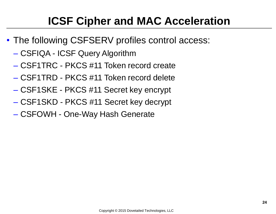- The following CSFSERV profiles control access:
	- CSFIQA ICSF Query Algorithm
	- CSF1TRC PKCS #11 Token record create
	- CSF1TRD PKCS #11 Token record delete
	- CSF1SKE PKCS #11 Secret key encrypt
	- CSF1SKD PKCS #11 Secret key decrypt
	- CSFOWH One-Way Hash Generate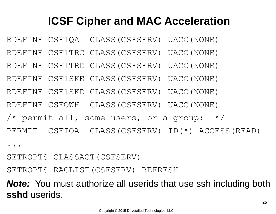RDEFINE CSFIQA CLASS(CSFSERV) UACC(NONE)

RDEFINE CSF1TRC CLASS(CSFSERV) UACC(NONE)

RDEFINE CSF1TRD CLASS(CSFSERV) UACC(NONE)

RDEFINE CSF1SKE CLASS(CSFSERV) UACC(NONE)

RDEFINE CSF1SKD CLASS(CSFSERV) UACC(NONE)

RDEFINE CSFOWH CLASS(CSFSERV) UACC(NONE)

/\* permit all, some users, or a group:  $*/$ 

PERMIT CSFIQA CLASS(CSFSERV) ID(\*) ACCESS(READ)

...

SETROPTS CLASSACT(CSFSERV)

SETROPTS RACLIST(CSFSERV) REFRESH

*Note:* You must authorize all userids that use ssh including both **sshd** userids.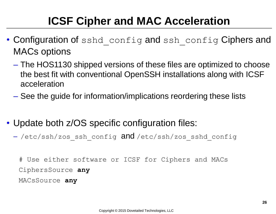- Configuration of sshd config and ssh config Ciphers and MACs options
	- The HOS1130 shipped versions of these files are optimized to choose the best fit with conventional OpenSSH installations along with ICSF acceleration
	- See the guide for information/implications reordering these lists
- Update both z/OS specific configuration files:
	- -/etc/ssh/zos ssh\_config and /etc/ssh/zos\_sshd\_config

# Use either software or ICSF for Ciphers and MACs CiphersSource **any** MACsSource **any**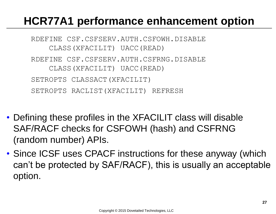### **HCR77A1 performance enhancement option**

RDEFINE CSF.CSFSERV.AUTH.CSFOWH.DISABLE CLASS(XFACILIT) UACC(READ) RDEFINE CSF.CSFSERV.AUTH.CSFRNG.DISABLE CLASS(XFACILIT) UACC(READ) SETROPTS CLASSACT (XFACILIT) SETROPTS RACLIST(XFACILIT) REFRESH

- Defining these profiles in the XFACILIT class will disable SAF/RACF checks for CSFOWH (hash) and CSFRNG (random number) APIs.
- Since ICSF uses CPACF instructions for these anyway (which can't be protected by SAF/RACF), this is usually an acceptable option.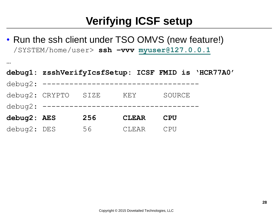• Run the ssh client under TSO OMVS (new feature!) /SYSTEM/home/user> **ssh –vvv [myuser@127.0.0.1](mailto:myuser@127.0.0.1)**

**…**

|             |                                            |     |              |            | debug1: zsshVerifyIcsfSetup: ICSF FMID is 'HCR77A0' |
|-------------|--------------------------------------------|-----|--------------|------------|-----------------------------------------------------|
|             | debug2: ---------------------------------- |     |              |            |                                                     |
|             | debug2: CRYPTO SIZE                        |     | KEY          | SOURCE     |                                                     |
|             | debug2: ----------------------------       |     |              |            |                                                     |
| debug2: AES |                                            | 256 | <b>CLEAR</b> | <b>CPU</b> |                                                     |
| debug2: DES |                                            | 56  | CLEAR        | CPU        |                                                     |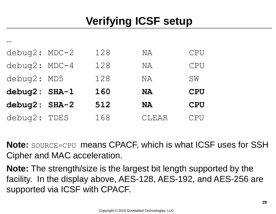| $debuq2: MDC-2$ | 128 | NA        | CPU        |
|-----------------|-----|-----------|------------|
| $debuq2: MDC-4$ | 128 | NA        | CPU        |
| debug2: MD5     | 128 | ΝA        | SW         |
| debug2: SHA-1   | 160 | <b>NA</b> | <b>CPU</b> |
| debug2: SHA-2   | 512 | NA        | <b>CPU</b> |
| debug2: TDES    | 168 | CLEAR     | CPU        |

…

**Note:** SOURCE=CPU means CPACF, which is what ICSF uses for SSH Cipher and MAC acceleration.

**Note:** The strength/size is the largest bit length supported by the facility. In the display above, AES-128, AES-192, and AES-256 are supported via ICSF with CPACF.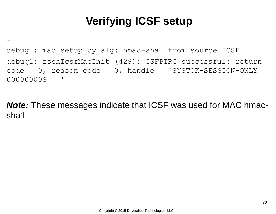debug1: mac setup by alg: hmac-sha1 from source ICSF debug1: zsshIcsfMacInit (429): CSFPTRC successful: return  $code = 0$ , reason code = 0, handle = 'SYSTOK-SESSION-ONLY 00000000S '

…

*Note:* These messages indicate that ICSF was used for MAC hmacsha1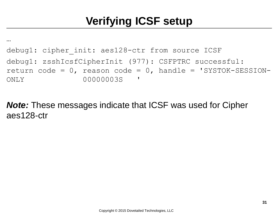… debug1: cipher init: aes128-ctr from source ICSF debug1: zsshIcsfCipherInit (977): CSFPTRC successful: return code =  $0$ , reason code =  $0$ , handle = 'SYSTOK-SESSION-ONLY 00000003S '

*Note:* These messages indicate that ICSF was used for Cipher aes128-ctr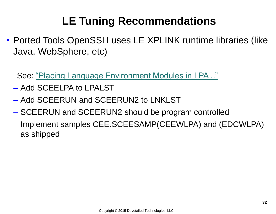# **LE Tuning Recommendations**

• Ported Tools OpenSSH uses LE XPLINK runtime libraries (like Java, WebSphere, etc)

See: ["Placing Language Environment Modules in LPA .."](http://pic.dhe.ibm.com/infocenter/zos/v2r1/index.jsp?topic=/com.ibm.zos.v2r1.ceea500/plnilpa.htm)

- Add SCEELPA to LPALST
- Add SCEERUN and SCEERUN2 to LNKLST
- SCEERUN and SCEERUN2 should be program controlled
- Implement samples CEE.SCEESAMP(CEEWLPA) and (EDCWLPA) as shipped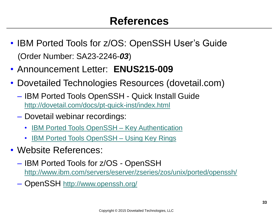- IBM Ported Tools for z/OS: OpenSSH User's Guide (Order Number: SA23-2246-*03*)
- Announcement Letter: **ENUS215-009**
- Dovetailed Technologies Resources (dovetail.com)
	- IBM Ported Tools OpenSSH Quick Install Guide <http://dovetail.com/docs/pt-quick-inst/index.html>
	- Dovetail webinar recordings:
		- [IBM Ported Tools OpenSSH](http://dovetail.com/webinars.html) Key Authentication
		- [IBM Ported Tools OpenSSH](http://dovetail.com/webinars.html) Using Key Rings
- Website References:
	- IBM Ported Tools for z/OS OpenSSH [http://www.ibm.com/servers/eserver/zseries/zos/unix/ported/openssh/](http://www.ibm.com/systems/z/os/zos/features/unix/ported/openssh/)
	- OpenSSH <http://www.openssh.org/>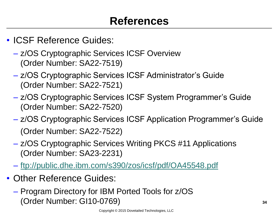- ICSF Reference Guides:
	- z/OS Cryptographic Services ICSF Overview (Order Number: SA22-7519)
	- z/OS Cryptographic Services ICSF Administrator's Guide (Order Number: SA22-7521)
	- z/OS Cryptographic Services ICSF System Programmer's Guide (Order Number: SA22-7520)
	- z/OS Cryptographic Services ICSF Application Programmer's Guide (Order Number: SA22-7522)
	- z/OS Cryptographic Services Writing PKCS #11 Applications (Order Number: SA23-2231)
	- <ftp://public.dhe.ibm.com/s390/zos/icsf/pdf/OA45548.pdf>
- Other Reference Guides:
	- Program Directory for IBM Ported Tools for z/OS (Order Number: GI10-0769)